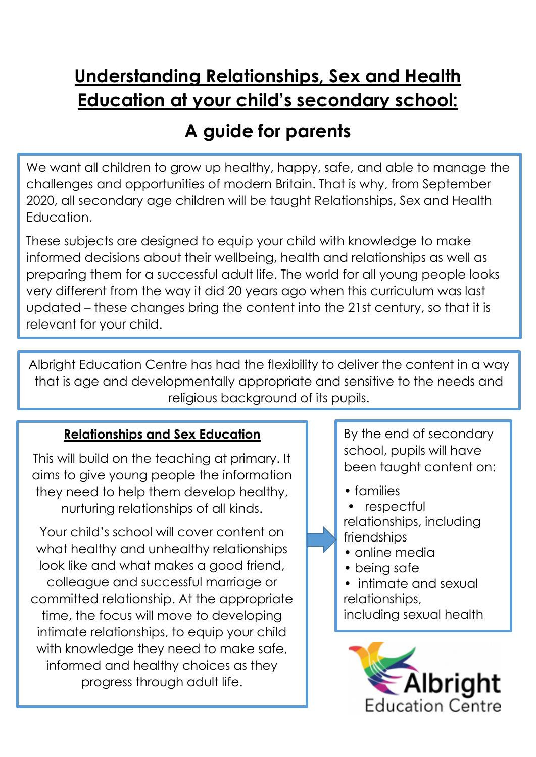# **Understanding Relationships, Sex and Health Education at your child's secondary school:**

## **A guide for parents**

We want all children to grow up healthy, happy, safe, and able to manage the challenges and opportunities of modern Britain. That is why, from September 2020, all secondary age children will be taught Relationships, Sex and Health Education.

These subjects are designed to equip your child with knowledge to make informed decisions about their wellbeing, health and relationships as well as preparing them for a successful adult life. The world for all young people looks very different from the way it did 20 years ago when this curriculum was last updated – these changes bring the content into the 21st century, so that it is relevant for your child.

Albright Education Centre has had the flexibility to deliver the content in a way that is age and developmentally appropriate and sensitive to the needs and religious background of its pupils.

## **Relationships and Sex Education**

This will build on the teaching at primary. It aims to give young people the information they need to help them develop healthy, nurturing relationships of all kinds.

Your child's school will cover content on what healthy and unhealthy relationships look like and what makes a good friend, colleague and successful marriage or committed relationship. At the appropriate time, the focus will move to developing intimate relationships, to equip your child with knowledge they need to make safe, informed and healthy choices as they progress through adult life.

By the end of secondary school, pupils will have been taught content on:

- families
- respectful

#### relationships, including friendships

- online media
- being safe
- intimate and sexual relationships,

including sexual health